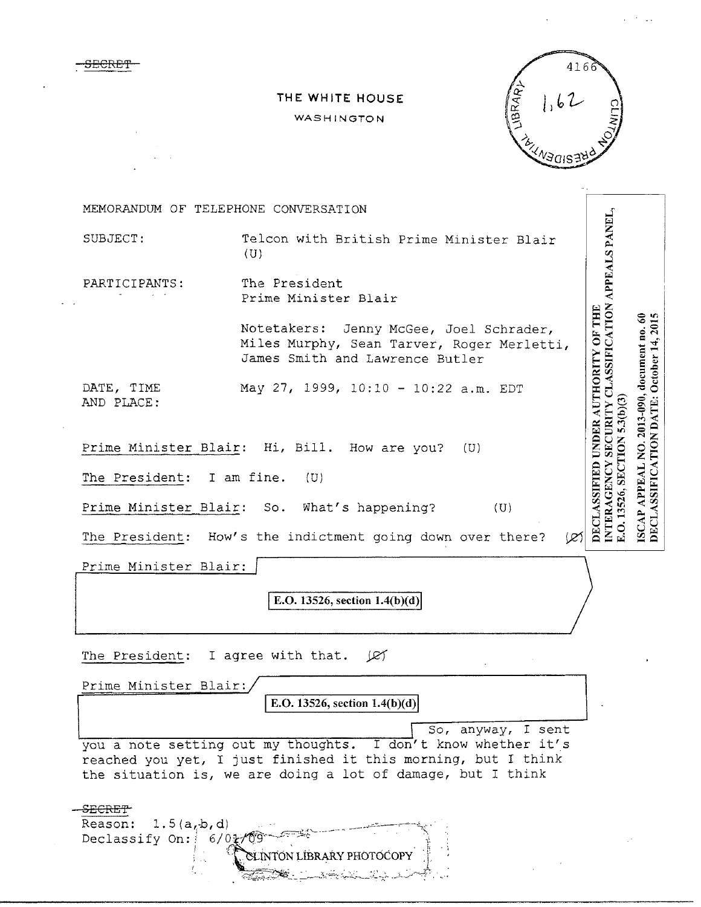**SECRET** 

## THE WHITE HOUSE

## WASHINGTON



MEMORANDUM OF TELEPHONE CONVERSATION INTERAGENCY SECURITY CLASSIFICATION APPEALS PANEL,<br>E.O. 13526, SECTION 5.3(b)(3) SUBJECT: Telcon with British Prime Minister Blair  $(U)$ The President PARTICIPANTS: Prime Minister Blair DECLASSIFIED UNDER AUTHORITY OF THE ISCAP APPEAL NO. 2013-090, document no. 60<br>DECLASSIFICATION DATE: October 14, 2015 Notetakers: Jenny McGee, Joel Schrader, Miles Murphy, Sean Tarver, Roger Merletti, James Smith and Lawrence Butler DATE, TIME May 27, 1999, 10:10 - 10:22 a.m. EDT AND PLACE: Prime Minister\_Blair: Hi, Bill. How are you?  $(U)$ The President: I am fine. (U) Prime Minister Blair: What's happening? So.  $(U)$ The President: How's the indictment going down over there? œ Prime Minister Blair: E.O. 13526, section  $1.4(b)(d)$ The President: I agree with that. JEY Prime Minister Blair: E.O. 13526, section  $1.4(b)(d)$ So, anyway, I sent you a note setting out my thoughts. I don't know whether it's reached you yet, I just finished it this morning, but I think the situation is, we are doing a lot of damage, but I think <del>-SECRET</del>

Reason:  $1.5(a, b, d)$ Declassify On:  $6/011$ ALINTON LİBRARY PHOTOCOPY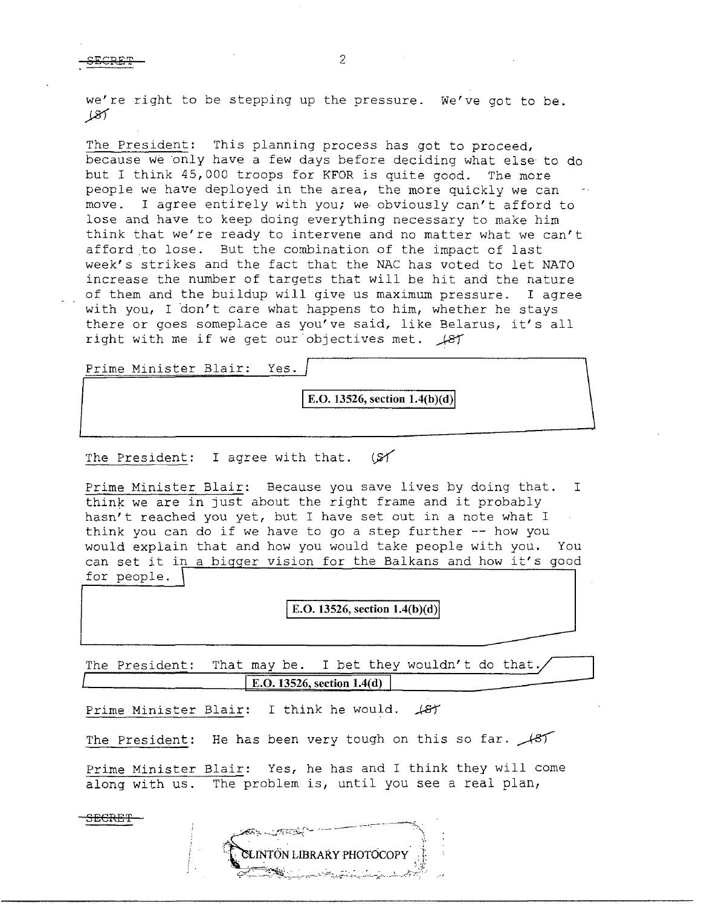we're right to be stepping up the pressure. We've got to be.  $187$ 

The President: This planning process has got to proceed, because we only have a few days before deciding what else to do but I think 45,000 troops for KFOR is quite good. The more people we have deployed in the area, the more quickly we can move. I agree entirely with you; we- obviously can't afford to lose and have to keep doing everything necessary to make him think that we're ready to intervene and no matter what we can't afford to lose. But the combination of the impact of last week's strikes and the fact that the NAC has voted to let NATO increase the number of targets that will be hit and the nature of them and the buildup will give us maximum pressure. I agree with you, I don't care what happens to him, whether he stays there or goes someplace as you've said, like Belarus, it's all right with me if we get our objectives met.  $\cancel{187}$ 

Prime Minister Blair: Yes.

**E.O.** 13526, section 1.4(b)(d)

The President: I agree with that.  $(SY)$ 

Prime Minister Blair: Because you save lives by doing that. I think we are in just about the right frame and it probably hasn't reached you yet, but I have set out in a note what I think you can do if we have to go a step further -- how you would explain that and how you would take people with you. You can set it in a bigger vision for the Balkans and how it's good for people.

**E.O. 13526, section**  $1.4(b)(d)$ 

The President: That may be. I bet they wouldn't do that. **E.O. 13526, section 1.4(d)** 

Prime Minister Blair: I think he would.  $\sqrt{8}$ 

The President: He has been very tough on this so far.  $\#57$ 

Prime Minister Blair: Yes, he has and I think they will come along with us. The problem is, until you see a real plan,

CLINTÖN LIBRARY PHOTOCOPY

SECRE'f

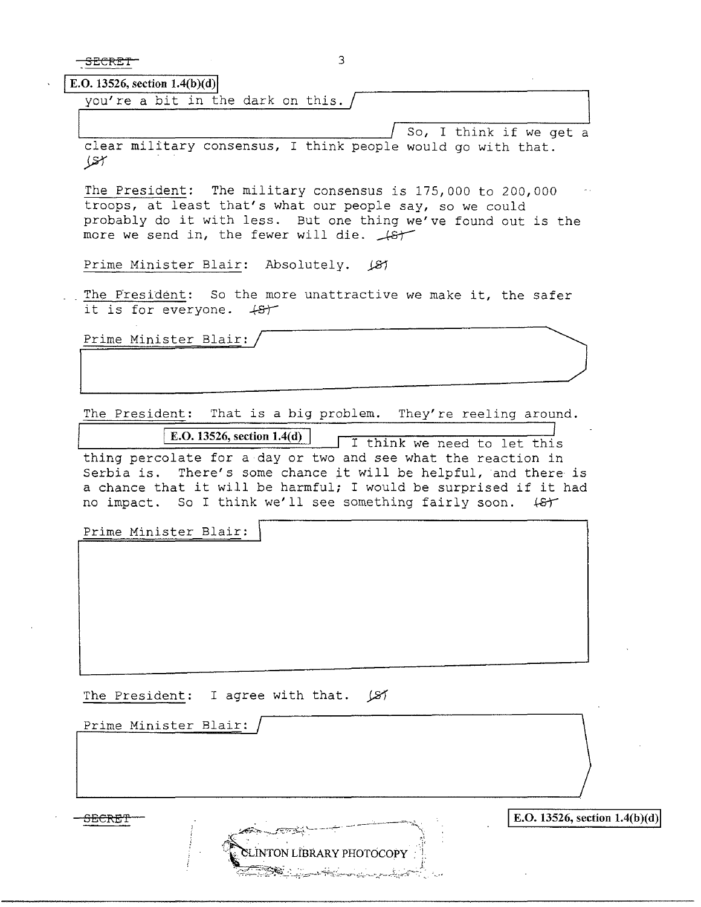SECRET 3

 $E. O. 13526, section 1.4(b)(d)$ 

you're a bit in the dark on this.

 $/$  So, I think if we get a clear military consensus, I think people would go with that. *yr* 

The President: The military consensus is 175,000 to 200,000 troops, at least that's what our people say, so we could eroops, at reast that s what our people say, so we could<br>probably do it with less. But one thing we've found out is the<br>more we send in, the fewer will die.  $\sqrt{s}$ 

Prime Minister Blair: Absolutely.  $\cancel{81}$ 

The Fresident: So the more unattractive we make it, the safer it is for everyone.  $+8+$ 

Prime Minister Blair:

The President: That is a big problem. They're reeling around.

**E.O. 13526, section 1.4(d) I** think we need to let this thing percolate for a day or two and see what the reaction in Serbia is. There's some chance it will be helpful, and there is a chance that it will be harmful; I would be surprised if it had no impact. So I think we'll see something fairly soon.  $\sharp$ f

EINTON LÍBRARY PHOTOCOPY

Prime Minister Blair: \

The President: I agree with that.  $\cancel{\cancel{\mathcal{Z}}}$ 

Prime Minister Blair:

 $SERET$ <sup>i</sup> IE.O. 13526, section 1.4(b)(d)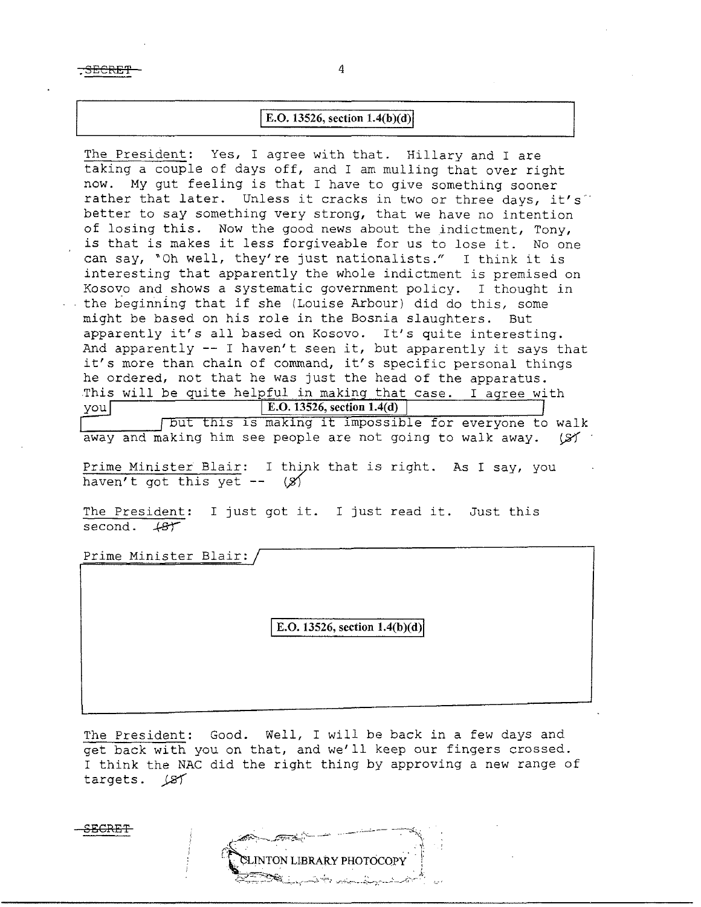$\overline{\text{SEERET}}$   $-$ 

## **E.O.** 13526, section  $1.4(b)(d)$

The President: Yes, I agree with that. Hillary and I are taking a couple of days off, and I am mulling that over right now. My gut feeling is that I have to give something sooner rather that later. Unless it cracks in two or three days, it's better to say something very strong, that we have no intention of losing this. Now the good news about the indictment, Tony, is that is makes it less forgiveable for us to lose it. No one can say, "Oh well, they're just nationalists." I think it is interesting that apparently the whole indictment is premised on Kosovo and shows a systematic goverrunent policy. I thought in the beginning that if she (Louise Arbour) did do this, some might be based on his role in the Bosnia slaughters. But apparently it's all based on Kosovo. It's quite interesting. And apparently  $-$ - I haven't seen it, but apparently it says that it's more than chain of command, it's specific personal things he ordered, not that he was just the head of the apparatus. This will be quite helpful in making that case. I agree with you] **E.O. 13526, section 1.4(d)**  (but this is making it impossible for everyone to walk

away and making him see people are not going to walk away.  $(S)$ 

Prime Minister Blair: I think that is right. As I say, you haven't got this yet  $- (8)$ 

The President: I just got it. I just read it. Just this second.  $487$ 

Prime Minister Blair:

**E.O.** 13526, section 1.4(b)(d)

The President: Good. Well, I will be back in a few days and get back with you on that, and we'll keep our fingers crossed. I think the NAC did the right thing by approving a new range of targets. *JST* 

LINTON LIBRARY PHOTOCOPY

**.SECRET**